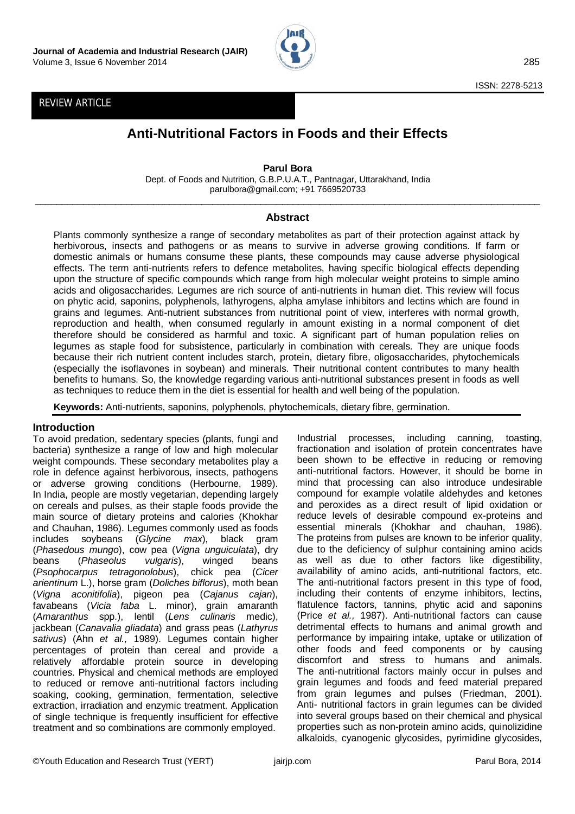

# REVIEW ARTICLE

# **Anti-Nutritional Factors in Foods and their Effects**

**Parul Bora** Dept. of Foods and Nutrition, G.B.P.U.A.T., Pantnagar, Uttarakhand, India parulbora@gmail.com; +91 7669520733

 $\Box$ 

## **Abstract**

Plants commonly synthesize a range of secondary metabolites as part of their protection against attack by herbivorous, insects and pathogens or as means to survive in adverse growing conditions. If farm or domestic animals or humans consume these plants, these compounds may cause adverse physiological effects. The term anti-nutrients refers to defence metabolites, having specific biological effects depending upon the structure of specific compounds which range from high molecular weight proteins to simple amino acids and oligosaccharides. Legumes are rich source of anti-nutrients in human diet. This review will focus on phytic acid, saponins, polyphenols, lathyrogens, alpha amylase inhibitors and lectins which are found in grains and legumes. Anti-nutrient substances from nutritional point of view, interferes with normal growth, reproduction and health, when consumed regularly in amount existing in a normal component of diet therefore should be considered as harmful and toxic. A significant part of human population relies on legumes as staple food for subsistence, particularly in combination with cereals. They are unique foods because their rich nutrient content includes starch, protein, dietary fibre, oligosaccharides, phytochemicals (especially the isoflavones in soybean) and minerals. Their nutritional content contributes to many health benefits to humans. So, the knowledge regarding various anti-nutritional substances present in foods as well as techniques to reduce them in the diet is essential for health and well being of the population.

**Keywords:** Anti-nutrients, saponins, polyphenols, phytochemicals, dietary fibre, germination.

#### **Introduction**

To avoid predation, sedentary species (plants, fungi and bacteria) synthesize a range of low and high molecular weight compounds. These secondary metabolites play a role in defence against herbivorous, insects, pathogens or adverse growing conditions (Herbourne, 1989). In India, people are mostly vegetarian, depending largely on cereals and pulses, as their staple foods provide the main source of dietary proteins and calories (Khokhar and Chauhan, 1986). Legumes commonly used as foods includes soybeans (*Glycine max*), black gram (*Phasedous mungo*), cow pea (*Vigna unguiculata*), dry beans (*Phaseolus vulgaris*), winged beans (*Psophocarpus tetragonolobus*), chick pea (*Cicer arientinum* L.), horse gram (*Doliches biflorus*), moth bean (*Vigna aconitifolia*), pigeon pea (*Cajanus cajan*), favabeans (*Vicia faba* L. minor), grain amaranth (*Amaranthus* spp.), lentil (*Lens culinaris* medic), jackbean (*Canavalia gliadata*) and grass peas (*Lathyrus sativus*) (Ahn *et al.,* 1989). Legumes contain higher percentages of protein than cereal and provide a relatively affordable protein source in developing countries. Physical and chemical methods are employed to reduced or remove anti-nutritional factors including soaking, cooking, germination, fermentation, selective extraction, irradiation and enzymic treatment. Application of single technique is frequently insufficient for effective treatment and so combinations are commonly employed.

Industrial processes, including canning, toasting, fractionation and isolation of protein concentrates have been shown to be effective in reducing or removing anti-nutritional factors. However, it should be borne in mind that processing can also introduce undesirable compound for example volatile aldehydes and ketones and peroxides as a direct result of lipid oxidation or reduce levels of desirable compound ex-proteins and essential minerals (Khokhar and chauhan, 1986). The proteins from pulses are known to be inferior quality, due to the deficiency of sulphur containing amino acids as well as due to other factors like digestibility, availability of amino acids, anti-nutritional factors, etc. The anti-nutritional factors present in this type of food, including their contents of enzyme inhibitors, lectins, flatulence factors, tannins, phytic acid and saponins (Price *et al.,* 1987). Anti-nutritional factors can cause detrimental effects to humans and animal growth and performance by impairing intake, uptake or utilization of other foods and feed components or by causing discomfort and stress to humans and animals. The anti-nutritional factors mainly occur in pulses and grain legumes and foods and feed material prepared from grain legumes and pulses (Friedman, 2001). Anti- nutritional factors in grain legumes can be divided into several groups based on their chemical and physical properties such as non-protein amino acids, quinolizidine alkaloids, cyanogenic glycosides, pyrimidine glycosides,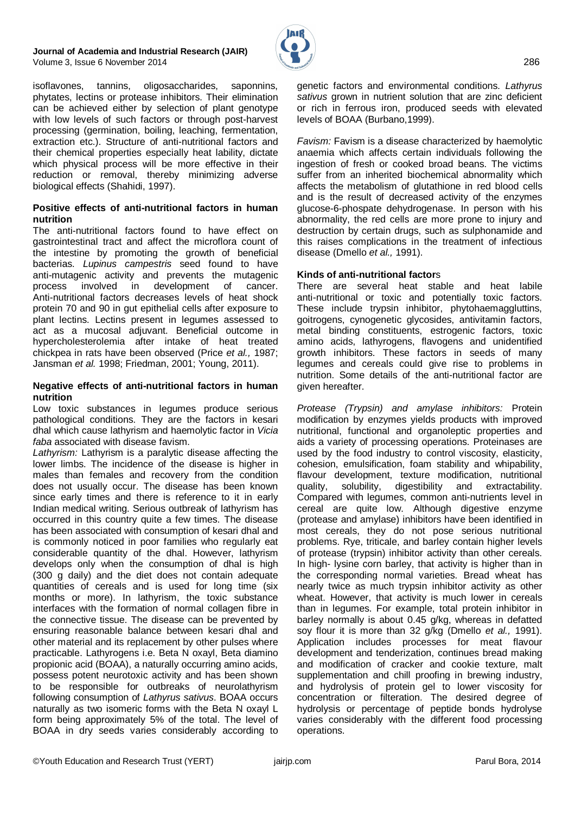#### **Journal of Academia and Industrial Research (JAIR)** Volume 3, Issue 6 November 2014286



isoflavones, tannins, oligosaccharides, saponnins, phytates, lectins or protease inhibitors. Their elimination can be achieved either by selection of plant genotype with low levels of such factors or through post-harvest processing (germination, boiling, leaching, fermentation, extraction etc.). Structure of anti-nutritional factors and their chemical properties especially heat lability, dictate which physical process will be more effective in their reduction or removal, thereby minimizing adverse biological effects (Shahidi, 1997).

#### **Positive effects of anti-nutritional factors in human nutrition**

The anti-nutritional factors found to have effect on gastrointestinal tract and affect the microflora count of the intestine by promoting the growth of beneficial bacterias. *Lupinus campestris* seed found to have anti-mutagenic activity and prevents the mutagenic process involved in development of cancer. Anti-nutritional factors decreases levels of heat shock protein 70 and 90 in gut epithelial cells after exposure to plant lectins. Lectins present in legumes assessed to act as a mucosal adjuvant. Beneficial outcome in hypercholesterolemia after intake of heat treated chickpea in rats have been observed (Price *et al.,* 1987; Jansman *et al.* 1998; Friedman, 2001; Young, 2011).

#### **Negative effects of anti-nutritional factors in human nutrition**

Low toxic substances in legumes produce serious pathological conditions. They are the factors in kesari dhal which cause lathyrism and haemolytic factor in *Vicia faba* associated with disease favism.

*Lathyrism:* Lathyrism is a paralytic disease affecting the lower limbs. The incidence of the disease is higher in males than females and recovery from the condition does not usually occur. The disease has been known since early times and there is reference to it in early Indian medical writing. Serious outbreak of lathyrism has occurred in this country quite a few times. The disease has been associated with consumption of kesari dhal and is commonly noticed in poor families who regularly eat considerable quantity of the dhal. However, lathyrism develops only when the consumption of dhal is high (300 g daily) and the diet does not contain adequate quantities of cereals and is used for long time (six months or more). In lathyrism, the toxic substance interfaces with the formation of normal collagen fibre in the connective tissue. The disease can be prevented by ensuring reasonable balance between kesari dhal and other material and its replacement by other pulses where practicable. Lathyrogens i.e. Beta N oxayl, Beta diamino propionic acid (BOAA), a naturally occurring amino acids, possess potent neurotoxic activity and has been shown to be responsible for outbreaks of neurolathyrism following consumption of *Lathyrus sativus*. BOAA occurs naturally as two isomeric forms with the Beta N oxayl L form being approximately 5% of the total. The level of BOAA in dry seeds varies considerably according to genetic factors and environmental conditions. *Lathyrus* sativus grown in nutrient solution that are zinc deficient or rich in ferrous iron, produced seeds with elevated levels of BOAA (Burbano,1999).

*Favism:* Favism is a disease characterized by haemolytic anaemia which affects certain individuals following the ingestion of fresh or cooked broad beans. The victims suffer from an inherited biochemical abnormality which affects the metabolism of glutathione in red blood cells and is the result of decreased activity of the enzymes glucose-6-phospate dehydrogenase. In person with his abnormality, the red cells are more prone to injury and destruction by certain drugs, such as sulphonamide and this raises complications in the treatment of infectious disease (Dmello *et al.,* 1991).

#### **Kinds of anti-nutritional factor**s

There are several heat stable and heat labile anti-nutritional or toxic and potentially toxic factors. These include trypsin inhibitor, phytohaemaggluttins, goitrogens, cynogenetic glycosides, antivitamin factors, metal binding constituents, estrogenic factors, toxic amino acids, lathyrogens, flavogens and unidentified growth inhibitors. These factors in seeds of many legumes and cereals could give rise to problems in nutrition. Some details of the anti-nutritional factor are given hereafter.

*Protease (Trypsin) and amylase inhibitors:* Protein modification by enzymes yields products with improved nutritional, functional and organoleptic properties and aids a variety of processing operations. Proteinases are used by the food industry to control viscosity, elasticity, cohesion, emulsification, foam stability and whipability, flavour development, texture modification, nutritional quality, solubility, digestibility and extractability. Compared with legumes, common anti-nutrients level in cereal are quite low. Although digestive enzyme (protease and amylase) inhibitors have been identified in most cereals, they do not pose serious nutritional problems. Rye, triticale, and barley contain higher levels of protease (trypsin) inhibitor activity than other cereals. In high- lysine corn barley, that activity is higher than in the corresponding normal varieties. Bread wheat has nearly twice as much trypsin inhibitor activity as other wheat. However, that activity is much lower in cereals than in legumes. For example, total protein inhibitor in barley normally is about 0.45 g/kg, whereas in defatted soy flour it is more than 32 g/kg (Dmello *et al.,* 1991). Application includes processes for meat flavour development and tenderization, continues bread making and modification of cracker and cookie texture, malt supplementation and chill proofing in brewing industry, and hydrolysis of protein gel to lower viscosity for concentration or filteration. The desired degree of hydrolysis or percentage of peptide bonds hydrolyse varies considerably with the different food processing operations.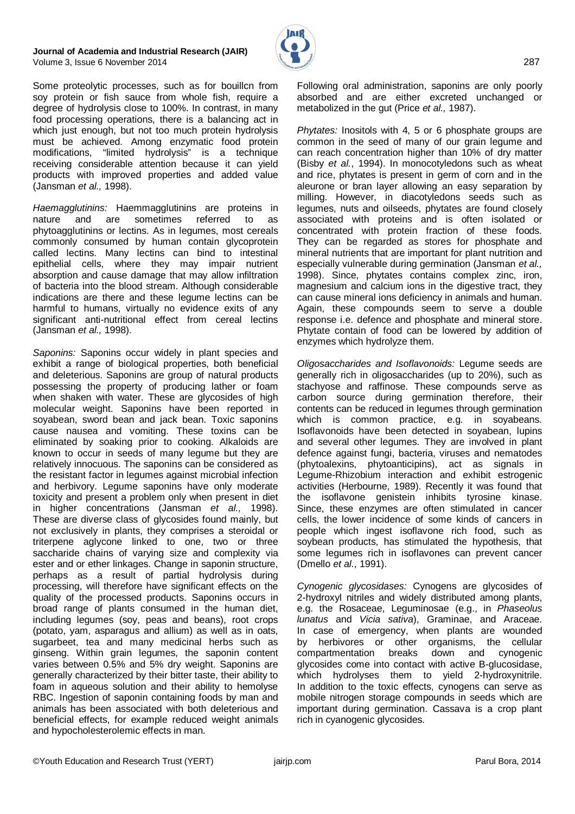#### **Journal of Academia and Industrial Research (JAIR)** Volume 3, Issue 6 November 2014287



Some proteolytic processes, such as for bouillcn from soy protein or fish sauce from whole fish, require a degree of hydrolysis close to 100%. In contrast, in many food processing operations, there is a balancing act in which just enough, but not too much protein hydrolysis must be achieved. Among enzymatic food protein modifications, "limited hydrolysis" is a technique receiving considerable attention because it can yield products with improved properties and added value (Jansman *et al.,* 1998).

*Haemagglutinins:* Haemmagglutinins are proteins in nature and are sometimes referred to as phytoagglutinins or lectins. As in legumes, most cereals commonly consumed by human contain glycoprotein called lectins. Many lectins can bind to intestinal epithelial cells, where they may impair nutrient absorption and cause damage that may allow infiltration of bacteria into the blood stream. Although considerable indications are there and these legume lectins can be harmful to humans, virtually no evidence exits of any significant anti-nutritional effect from cereal lectins (Jansman *et al.,* 1998).

*Saponins:* Saponins occur widely in plant species and exhibit a range of biological properties, both beneficial and deleterious. Saponins are group of natural products possessing the property of producing lather or foam when shaken with water. These are glycosides of high molecular weight. Saponins have been reported in soyabean, sword bean and jack bean. Toxic saponins cause nausea and vomiting. These toxins can be eliminated by soaking prior to cooking. Alkaloids are known to occur in seeds of many legume but they are relatively innocuous. The saponins can be considered as the resistant factor in legumes against microbial infection and herbivory. Legume saponins have only moderate toxicity and present a problem only when present in diet in higher concentrations (Jansman *et al.,* 1998). These are diverse class of glycosides found mainly, but not exclusively in plants, they comprises a steroidal or triterpene aglycone linked to one, two or three saccharide chains of varying size and complexity via ester and or ether linkages. Change in saponin structure, perhaps as a result of partial hydrolysis during processing, will therefore have significant effects on the quality of the processed products. Saponins occurs in broad range of plants consumed in the human diet, including legumes (soy, peas and beans), root crops (potato, yam, asparagus and allium) as well as in oats, sugarbeet, tea and many medicinal herbs such as ginseng. Within grain legumes, the saponin content varies between 0.5% and 5% dry weight. Saponins are generally characterized by their bitter taste, their ability to foam in aqueous solution and their ability to hemolyse RBC. Ingestion of saponin containing foods by man and animals has been associated with both deleterious and beneficial effects, for example reduced weight animals and hypocholesterolemic effects in man.

*Phytates:* Inositols with 4, 5 or 6 phosphate groups are common in the seed of many of our grain legume and can reach concentration higher than 10% of dry matter (Bisby *et al.*, 1994). In monocotyledons such as wheat and rice, phytates is present in germ of corn and in the aleurone or bran layer allowing an easy separation by milling. However, in diacotyledons seeds such as legumes, nuts and oilseeds, phytates are found closely associated with proteins and is often isolated or concentrated with protein fraction of these foods. They can be regarded as stores for phosphate and mineral nutrients that are important for plant nutrition and especially vulnerable during germination (Jansman *et al.,* 1998). Since, phytates contains complex zinc, iron, magnesium and calcium ions in the digestive tract, they can cause mineral ions deficiency in animals and human. Again, these compounds seem to serve a double response i.e. defence and phosphate and mineral store. Phytate contain of food can be lowered by addition of enzymes which hydrolyze them.

*Oligosaccharides and Isoflavonoids:* Legume seeds are generally rich in oligosaccharides (up to 20%), such as stachyose and raffinose. These compounds serve as carbon source during germination therefore, their contents can be reduced in legumes through germination which is common practice, e.g. in soyabeans. Isoflavonoids have been detected in soyabean, lupins and several other legumes. They are involved in plant defence against fungi, bacteria, viruses and nematodes (phytoalexins, phytoanticipins), act as signals in Legume-Rhizobium interaction and exhibit estrogenic activities (Herbourne, 1989). Recently it was found that the isoflavone genistein inhibits tyrosine kinase. Since, these enzymes are often stimulated in cancer cells, the lower incidence of some kinds of cancers in people which ingest isoflavone rich food, such as soybean products, has stimulated the hypothesis, that some legumes rich in isoflavones can prevent cancer (Dmello *et al*., 1991).

*Cynogenic glycosidases:* Cynogens are glycosides of 2-hydroxyl nitriles and widely distributed among plants, e.g. the Rosaceae, Leguminosae (e.g., in *Phaseolus lunatus* and *Vicia sativa*), Graminae, and Araceae. In case of emergency, when plants are wounded by herbivores or other organisms, the cellular compartmentation breaks down and cynogenic glycosides come into contact with active B-glucosidase, which hydrolyses them to yield 2-hydroxynitrile. In addition to the toxic effects, cynogens can serve as mobile nitrogen storage compounds in seeds which are important during germination. Cassava is a crop plant rich in cyanogenic glycosides.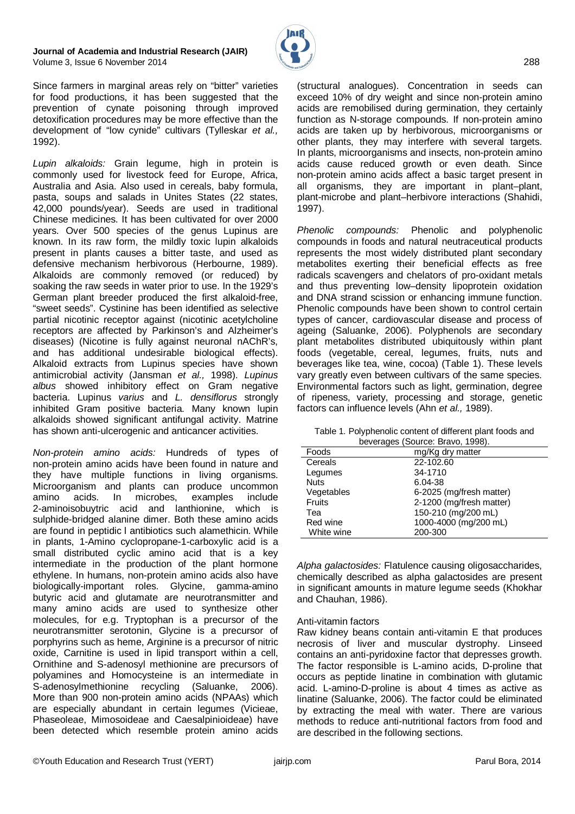

Since farmers in marginal areas rely on "bitter" varieties for food productions, it has been suggested that the prevention of cynate poisoning through improved detoxification procedures may be more effective than the development of "low cynide" cultivars (Tylleskar *et al.,* 1992).

*Lupin alkaloids:* Grain legume, high in protein is commonly used for livestock feed for Europe, Africa, Australia and Asia. Also used in cereals, baby formula, pasta, soups and salads in Unites States (22 states, 42,000 pounds/year). Seeds are used in traditional Chinese medicines. It has been cultivated for over 2000 years. Over 500 species of the genus Lupinus are known. In its raw form, the mildly toxic lupin alkaloids present in plants causes a bitter taste, and used as defensive mechanism herbivorous (Herbourne, 1989). Alkaloids are commonly removed (or reduced) by soaking the raw seeds in water prior to use. In the 1929's German plant breeder produced the first alkaloid-free, "sweet seeds". Cystinine has been identified as selective partial nicotinic receptor against (nicotinic acetylcholine receptors are affected by Parkinson's and Alzheimer's diseases) (Nicotine is fully against neuronal nAChR's, and has additional undesirable biological effects). Alkaloid extracts from Lupinus species have shown antimicrobial activity (Jansman *et al.,* 1998). *Lupinus albus* showed inhibitory effect on Gram negative bacteria. Lupinus *varius* and *L. densiflorus* strongly inhibited Gram positive bacteria. Many known lupin alkaloids showed significant antifungal activity. Matrine has shown anti-ulcerogenic and anticancer activities.

*Non-protein amino acids:* Hundreds of types of non-protein amino acids have been found in nature and they have multiple functions in living organisms. Microorganism and plants can produce uncommon amino acids. In microbes, examples include 2-aminoisobuytric acid and lanthionine, which is sulphide-bridged alanine dimer. Both these amino acids are found in peptidic l antibiotics such alamethicin. While in plants, 1-Amino cyclopropane-1-carboxylic acid is a small distributed cyclic amino acid that is a key intermediate in the production of the plant hormone ethylene. In humans, non-protein amino acids also have biologically-important roles. Glycine, gamma-amino butyric acid and glutamate are neurotransmitter and many amino acids are used to synthesize other molecules, for e.g. Tryptophan is a precursor of the neurotransmitter serotonin, Glycine is a precursor of porphyrins such as heme, Arginine is a precursor of nitric oxide, Carnitine is used in lipid transport within a cell, Ornithine and S-adenosyl methionine are precursors of polyamines and Homocysteine is an intermediate in S-adenosylmethionine recycling (Saluanke, 2006). More than 900 non-protein amino acids (NPAAs) which are especially abundant in certain legumes (Vicieae, Phaseoleae, Mimosoideae and Caesalpinioideae) have been detected which resemble protein amino acids

(structural analogues). Concentration in seeds can exceed 10% of dry weight and since non-protein amino acids are remobilised during germination, they certainly function as N-storage compounds. If non-protein amino acids are taken up by herbivorous, microorganisms or other plants, they may interfere with several targets. In plants, microorganisms and insects, non-protein amino acids cause reduced growth or even death. Since non-protein amino acids affect a basic target present in all organisms, they are important in plant–plant, plant-microbe and plant–herbivore interactions (Shahidi, 1997).

*Phenolic compounds:* Phenolic and polyphenolic compounds in foods and natural neutraceutical products represents the most widely distributed plant secondary metabolites exerting their beneficial effects as free radicals scavengers and chelators of pro-oxidant metals and thus preventing low–density lipoprotein oxidation and DNA strand scission or enhancing immune function. Phenolic compounds have been shown to control certain types of cancer, cardiovascular disease and process of ageing (Saluanke, 2006). Polyphenols are secondary plant metabolites distributed ubiquitously within plant foods (vegetable, cereal, legumes, fruits, nuts and beverages like tea, wine, cocoa) (Table 1). These levels vary greatly even between cultivars of the same species. Environmental factors such as light, germination, degree of ripeness, variety, processing and storage, genetic factors can influence levels (Ahn *et al.,* 1989).

| Table 1. Polyphenolic content of different plant foods and |  |
|------------------------------------------------------------|--|
| beverages (Source: Bravo, 1998).                           |  |

|             | $50.01$ and $00.000$ and $00.000$ and $0.000$ and $0.000$ and $0.000$ and $0.000$ and $0.000$ and $0.000$ and $0.000$ and $0.000$ and $0.000$ and $0.000$ and $0.000$ and $0.000$ and $0.000$ and $0.000$ and $0.000$ and $0.$ |
|-------------|--------------------------------------------------------------------------------------------------------------------------------------------------------------------------------------------------------------------------------|
| Foods       | mg/Kg dry matter                                                                                                                                                                                                               |
| Cereals     | 22-102.60                                                                                                                                                                                                                      |
| Legumes     | 34-1710                                                                                                                                                                                                                        |
| <b>Nuts</b> | 6.04-38                                                                                                                                                                                                                        |
| Vegetables  | 6-2025 (mg/fresh matter)                                                                                                                                                                                                       |
| Fruits      | 2-1200 (mg/fresh matter)                                                                                                                                                                                                       |
| Tea         | 150-210 (mg/200 mL)                                                                                                                                                                                                            |
| Red wine    | 1000-4000 (mg/200 mL)                                                                                                                                                                                                          |
| White wine  | 200-300                                                                                                                                                                                                                        |
|             |                                                                                                                                                                                                                                |

*Alpha galactosides:* Flatulence causing oligosaccharides, chemically described as alpha galactosides are present in significant amounts in mature legume seeds (Khokhar and Chauhan, 1986).

#### Anti-vitamin factors

Raw kidney beans contain anti-vitamin E that produces necrosis of liver and muscular dystrophy. Linseed contains an anti-pyridoxine factor that depresses growth. The factor responsible is L-amino acids, D-proline that occurs as peptide linatine in combination with glutamic acid. L-amino-D-proline is about 4 times as active as linatine (Saluanke, 2006). The factor could be eliminated by extracting the meal with water. There are various methods to reduce anti-nutritional factors from food and are described in the following sections.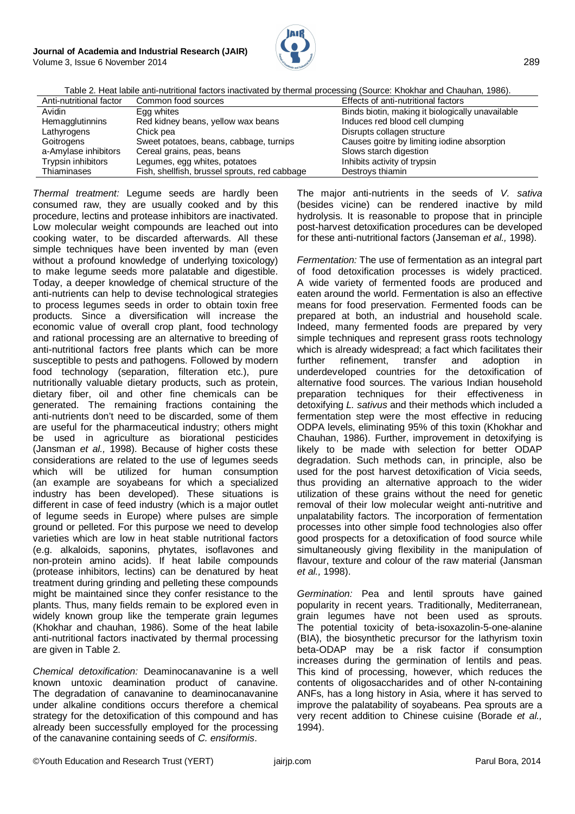

Table 2. Heat labile anti-nutritional factors inactivated by thermal processing (Source: Khokhar and Chauhan, 1986).

| Anti-nutritional factor | Common food sources                           | Effects of anti-nutritional factors              |
|-------------------------|-----------------------------------------------|--------------------------------------------------|
| Avidin                  | Egg whites                                    | Binds biotin, making it biologically unavailable |
| Hemagglutinnins         | Red kidney beans, yellow wax beans            | Induces red blood cell clumping                  |
| Lathyrogens             | Chick pea                                     | Disrupts collagen structure                      |
| Goitrogens              | Sweet potatoes, beans, cabbage, turnips       | Causes goitre by limiting iodine absorption      |
| a-Amylase inhibitors    | Cereal grains, peas, beans                    | Slows starch digestion                           |
| Trypsin inhibitors      | Legumes, egg whites, potatoes                 | Inhibits activity of trypsin                     |
| Thiaminases             | Fish, shellfish, brussel sprouts, red cabbage | Destroys thiamin                                 |

*Thermal treatment:* Legume seeds are hardly been consumed raw, they are usually cooked and by this procedure, lectins and protease inhibitors are inactivated. Low molecular weight compounds are leached out into cooking water, to be discarded afterwards. All these simple techniques have been invented by man (even without a profound knowledge of underlying toxicology) to make legume seeds more palatable and digestible. Today, a deeper knowledge of chemical structure of the anti-nutrients can help to devise technological strategies to process legumes seeds in order to obtain toxin free products. Since a diversification will increase the economic value of overall crop plant, food technology and rational processing are an alternative to breeding of anti-nutritional factors free plants which can be more susceptible to pests and pathogens. Followed by modern food technology (separation, filteration etc.), pure nutritionally valuable dietary products, such as protein, dietary fiber, oil and other fine chemicals can be generated. The remaining fractions containing the anti-nutrients don't need to be discarded, some of them are useful for the pharmaceutical industry; others might be used in agriculture as biorational pesticides (Jansman *et al.,* 1998). Because of higher costs these considerations are related to the use of legumes seeds which will be utilized for human consumption (an example are soyabeans for which a specialized industry has been developed). These situations is different in case of feed industry (which is a major outlet of legume seeds in Europe) where pulses are simple ground or pelleted. For this purpose we need to develop varieties which are low in heat stable nutritional factors (e.g. alkaloids, saponins, phytates, isoflavones and non-protein amino acids). If heat labile compounds (protease inhibitors, lectins) can be denatured by heat treatment during grinding and pelleting these compounds might be maintained since they confer resistance to the plants. Thus, many fields remain to be explored even in widely known group like the temperate grain legumes (Khokhar and chauhan, 1986). Some of the heat labile anti-nutritional factors inactivated by thermal processing are given in Table 2.

*Chemical detoxification:* Deaminocanavanine is a well known untoxic deamination product of canavine. The degradation of canavanine to deaminocanavanine under alkaline conditions occurs therefore a chemical strategy for the detoxification of this compound and has already been successfully employed for the processing of the canavanine containing seeds of *C. ensiformis*.

The major anti-nutrients in the seeds of *V. sativa* (besides vicine) can be rendered inactive by mild hydrolysis. It is reasonable to propose that in principle post-harvest detoxification procedures can be developed for these anti-nutritional factors (Janseman *et al.,* 1998).

*Fermentation:* The use of fermentation as an integral part of food detoxification processes is widely practiced. A wide variety of fermented foods are produced and eaten around the world. Fermentation is also an effective means for food preservation. Fermented foods can be prepared at both, an industrial and household scale. Indeed, many fermented foods are prepared by very simple techniques and represent grass roots technology which is already widespread; a fact which facilitates their further refinement, transfer and adoption in underdeveloped countries for the detoxification of alternative food sources. The various Indian household preparation techniques for their effectiveness in detoxifying *L. sativus* and their methods which included a fermentation step were the most effective in reducing ODPA levels, eliminating 95% of this toxin (Khokhar and Chauhan, 1986). Further, improvement in detoxifying is likely to be made with selection for better ODAP degradation. Such methods can, in principle, also be used for the post harvest detoxification of Vicia seeds, thus providing an alternative approach to the wider utilization of these grains without the need for genetic removal of their low molecular weight anti-nutritive and unpalatability factors. The incorporation of fermentation processes into other simple food technologies also offer good prospects for a detoxification of food source while simultaneously giving flexibility in the manipulation of flavour, texture and colour of the raw material (Jansman *et al.,* 1998).

*Germination:* Pea and lentil sprouts have gained popularity in recent years. Traditionally, Mediterranean, grain legumes have not been used as sprouts. The potential toxicity of beta-isoxazolin-5-one-alanine (BIA), the biosynthetic precursor for the lathyrism toxin beta-ODAP may be a risk factor if consumption increases during the germination of lentils and peas. This kind of processing, however, which reduces the contents of oligosaccharides and of other N-containing ANFs, has a long history in Asia, where it has served to improve the palatability of soyabeans. Pea sprouts are a very recent addition to Chinese cuisine (Borade *et al.,* 1994).